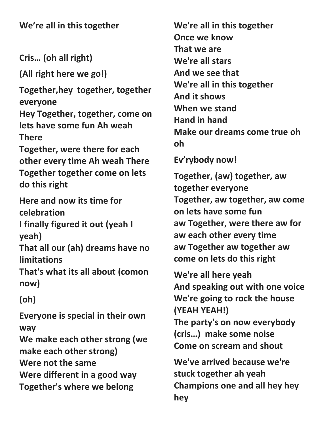**We're all in this together**

**Cris… (oh all right)**

**(All right here we go!)**

**Together,hey together, together everyone**

**Hey Together, together, come on lets have some fun Ah weah There**

**Together, were there for each other every time Ah weah There Together together come on lets do this right**

**Here and now its time for celebration**

**I finally figured it out (yeah I yeah)**

**That all our (ah) dreams have no limitations**

**That's what its all about (comon now)**

## **(oh)**

**Everyone is special in their own way**

**We make each other strong (we make each other strong) Were not the same Were different in a good way Together's where we belong**

**We're all in this together Once we know That we are We're all stars And we see that We're all in this together And it shows When we stand Hand in hand Make our dreams come true oh oh**

**Ev'rybody now!**

**Together, (aw) together, aw together everyone Together, aw together, aw come on lets have some fun aw Together, were there aw for aw each other every time aw Together aw together aw come on lets do this right**

**We're all here yeah And speaking out with one voice We're going to rock the house (YEAH YEAH!) The party's on now everybody (cris…) make some noise Come on scream and shout**

**We've arrived because we're stuck together ah yeah Champions one and all hey hey hey**